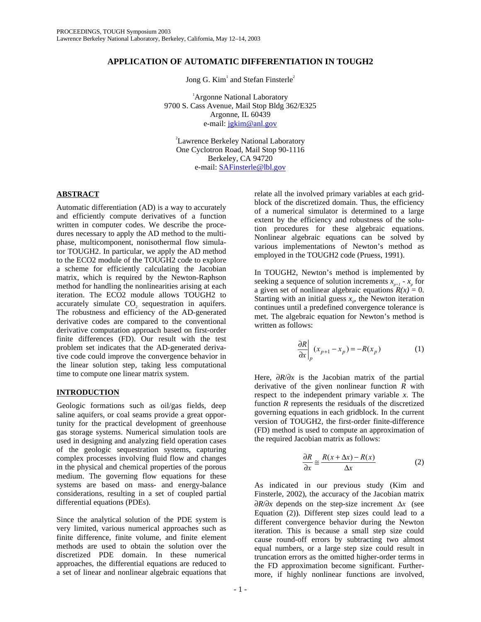# **APPLICATION OF AUTOMATIC DIFFERENTIATION IN TOUGH2**

Jong G.  $Kim<sup>1</sup>$  and Stefan Finsterle<sup>2</sup>

<sup>1</sup>Argonne National Laboratory 9700 S. Cass Avenue, Mail Stop Bldg 362/E325 Argonne, IL 60439 e-mail: jgkim@anl.gov

<sup>2</sup>Lawrence Berkeley National Laboratory One Cyclotron Road, Mail Stop 90-1116 Berkeley, CA 94720 e-mail: SAFinsterle@lbl.gov

## **ABSTRACT**

Automatic differentiation (AD) is a way to accurately and efficiently compute derivatives of a function written in computer codes. We describe the procedures necessary to apply the AD method to the multiphase, multicomponent, nonisothermal flow simulator TOUGH2. In particular, we apply the AD method to the ECO2 module of the TOUGH2 code to explore a scheme for efficiently calculating the Jacobian matrix, which is required by the Newton-Raphson method for handling the nonlinearities arising at each iteration. The ECO2 module allows TOUGH2 to accurately simulate CO<sub>2</sub> sequestration in aquifers. The robustness and efficiency of the AD-generated derivative codes are compared to the conventional derivative computation approach based on first-order finite differences (FD). Our result with the test problem set indicates that the AD-generated derivative code could improve the convergence behavior in the linear solution step, taking less computational time to compute one linear matrix system.

# **INTRODUCTION**

Geologic formations such as oil/gas fields, deep saline aquifers, or coal seams provide a great opportunity for the practical development of greenhouse gas storage systems. Numerical simulation tools are used in designing and analyzing field operation cases of the geologic sequestration systems, capturing complex processes involving fluid flow and changes in the physical and chemical properties of the porous medium. The governing flow equations for these systems are based on mass- and energy-balance considerations, resulting in a set of coupled partial differential equations (PDEs).

Since the analytical solution of the PDE system is very limited, various numerical approaches such as finite difference, finite volume, and finite element methods are used to obtain the solution over the discretized PDE domain. In these numerical approaches, the differential equations are reduced to a set of linear and nonlinear algebraic equations that

relate all the involved primary variables at each gridblock of the discretized domain. Thus, the efficiency of a numerical simulator is determined to a large extent by the efficiency and robustness of the solution procedures for these algebraic equations. Nonlinear algebraic equations can be solved by various implementations of Newton's method as employed in the TOUGH2 code (Pruess, 1991).

In TOUGH2, Newton's method is implemented by seeking a sequence of solution increments  $x_{n+1} - x_n$  for a given set of nonlinear algebraic equations  $R(x) = 0$ . Starting with an initial guess  $x<sub>o</sub>$ , the Newton iteration continues until a predefined convergence tolerance is met. The algebraic equation for Newton's method is written as follows:

$$
\left. \frac{\partial R}{\partial x} \right|_p (x_{p+1} - x_p) = -R(x_p) \tag{1}
$$

Here, ∂*R*/∂*x* is the Jacobian matrix of the partial derivative of the given nonlinear function *R* with respect to the independent primary variable *x*. The function *R* represents the residuals of the discretized governing equations in each gridblock. In the current version of TOUGH2, the first-order finite-difference (FD) method is used to compute an approximation of the required Jacobian matrix as follows:

$$
\frac{\partial R}{\partial x} \cong \frac{R(x + \Delta x) - R(x)}{\Delta x} \tag{2}
$$

As indicated in our previous study (Kim and Finsterle, 2002), the accuracy of the Jacobian matrix ∂*R*/∂*x* depends on the step-size increment ∆*x* (see Equation (2)). Different step sizes could lead to a different convergence behavior during the Newton iteration. This is because a small step size could cause round-off errors by subtracting two almost equal numbers, or a large step size could result in truncation errors as the omitted higher-order terms in the FD approximation become significant. Furthermore, if highly nonlinear functions are involved,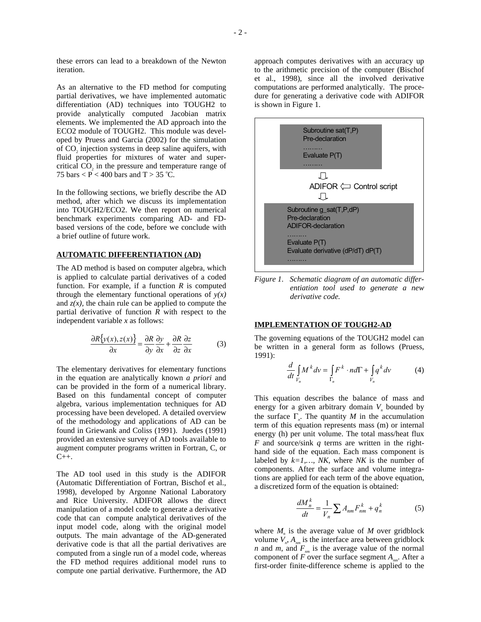these errors can lead to a breakdown of the Newton iteration.

As an alternative to the FD method for computing partial derivatives, we have implemented automatic differentiation (AD) techniques into TOUGH2 to provide analytically computed Jacobian matrix elements. We implemented the AD approach into the ECO2 module of TOUGH2. This module was developed by Pruess and Garcia (2002) for the simulation of CO<sub>2</sub> injection systems in deep saline aquifers, with fluid properties for mixtures of water and supercritical CO<sub>2</sub> in the pressure and temperature range of 75 bars  $\langle P \rangle$  = 400 bars and T > 35 °C.

In the following sections, we briefly describe the AD method, after which we discuss its implementation into TOUGH2/ECO2. We then report on numerical benchmark experiments comparing AD- and FDbased versions of the code, before we conclude with a brief outline of future work.

## **AUTOMATIC DIFFERENTIATION (AD)**

The AD method is based on computer algebra, which is applied to calculate partial derivatives of a coded function. For example, if a function  $R$  is computed through the elementary functional operations of  $y(x)$ and  $z(x)$ , the chain rule can be applied to compute the partial derivative of function *R* with respect to the independent variable *x* as follows:

$$
\frac{\partial R\{y(x), z(x)\}}{\partial x} = \frac{\partial R}{\partial y}\frac{\partial y}{\partial x} + \frac{\partial R}{\partial z}\frac{\partial z}{\partial x} \tag{3}
$$

The elementary derivatives for elementary functions in the equation are analytically known *a priori* and can be provided in the form of a numerical library. Based on this fundamental concept of computer algebra, various implementation techniques for AD processing have been developed. A detailed overview of the methodology and applications of AD can be found in Griewank and Coliss (1991). Juedes (1991) provided an extensive survey of AD tools available to augment computer programs written in Fortran, C, or C++.

The AD tool used in this study is the ADIFOR (Automatic Differentiation of Fortran, Bischof et al., 1998), developed by Argonne National Laboratory and Rice University. ADIFOR allows the direct manipulation of a model code to generate a derivative code that can compute analytical derivatives of the input model code, along with the original model outputs. The main advantage of the AD-generated derivative code is that all the partial derivatives are computed from a single run of a model code, whereas the FD method requires additional model runs to compute one partial derivative. Furthermore, the AD approach computes derivatives with an accuracy up to the arithmetic precision of the computer (Bischof et al., 1998), since all the involved derivative computations are performed analytically. The procedure for generating a derivative code with ADIFOR is shown in Figure 1.



*Figure 1. Schematic diagram of an automatic differentiation tool used to generate a new derivative code.* 

### **IMPLEMENTATION OF TOUGH2-AD**

The governing equations of the TOUGH2 model can be written in a general form as follows (Pruess, 1991):

$$
\frac{d}{dt} \int_{V_n} M^k dv = \int_{\Gamma_n} F^k \cdot n d\Gamma + \int_{V_n} q^k dv \tag{4}
$$

This equation describes the balance of mass and energy for a given arbitrary domain  $V<sub>n</sub>$  bounded by the surface  $\Gamma_n$ . The quantity *M* in the accumulation term of this equation represents mass (m) or internal energy (h) per unit volume. The total mass/heat flux *F* and source/sink *q* terms are written in the righthand side of the equation. Each mass component is labeled by  $k=1,...,NK$ , where *NK* is the number of components. After the surface and volume integrations are applied for each term of the above equation, a discretized form of the equation is obtained:

$$
\frac{dM_n^k}{dt} = \frac{1}{V_n} \sum A_{nm} F_{nm}^k + q_n^k \tag{5}
$$

where  $M<sub>n</sub>$  is the average value of  $M$  over gridblock volume  $V_n$ ,  $A_{nm}$  is the interface area between gridblock *n* and *m*, and  $F_{nm}$  is the average value of the normal component of  $F$  over the surface segment  $A_{mn}$ . After a first-order finite-difference scheme is applied to the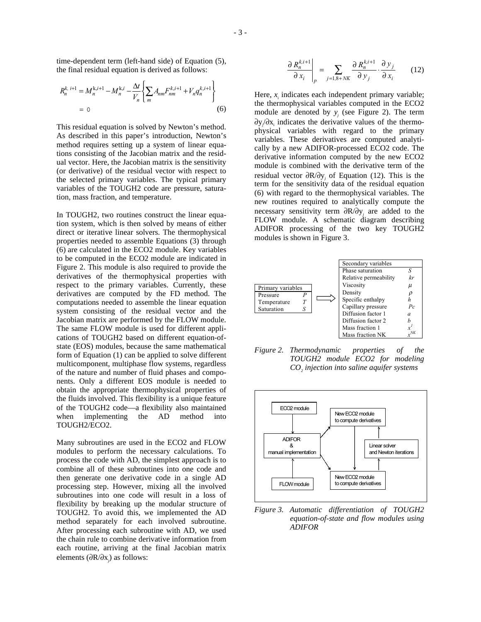time-dependent term (left-hand side) of Equation (5), the final residual equation is derived as follows:

$$
R_n^{k, i+1} = M_n^{k, i+1} - M_n^{k, i} - \frac{\Delta t}{V_n} \left\{ \sum_m A_{nm} F_{nm}^{k, i+1} + V_n q_n^{k, i+1} \right\}
$$
  
= 0 (6)

This residual equation is solved by Newton's method. As described in this paper's introduction, Newton's method requires setting up a system of linear equations consisting of the Jacobian matrix and the residual vector. Here, the Jacobian matrix is the sensitivity (or derivative) of the residual vector with respect to the selected primary variables. The typical primary variables of the TOUGH2 code are pressure, saturation, mass fraction, and temperature.

In TOUGH2, two routines construct the linear equation system, which is then solved by means of either direct or iterative linear solvers. The thermophysical properties needed to assemble Equations (3) through (6) are calculated in the ECO2 module. Key variables to be computed in the ECO2 module are indicated in Figure 2. This module is also required to provide the derivatives of the thermophysical properties with respect to the primary variables. Currently, these derivatives are computed by the FD method. The computations needed to assemble the linear equation system consisting of the residual vector and the Jacobian matrix are performed by the FLOW module. The same FLOW module is used for different applications of TOUGH2 based on different equation-ofstate (EOS) modules, because the same mathematical form of Equation (1) can be applied to solve different multicomponent, multiphase flow systems, regardless of the nature and number of fluid phases and components. Only a different EOS module is needed to obtain the appropriate thermophysical properties of the fluids involved. This flexibility is a unique feature of the TOUGH2 code—a flexibility also maintained when implementing the AD method into TOUGH2/ECO2.

Many subroutines are used in the ECO2 and FLOW modules to perform the necessary calculations. To process the code with AD, the simplest approach is to combine all of these subroutines into one code and then generate one derivative code in a single AD processing step. However, mixing all the involved subroutines into one code will result in a loss of flexibility by breaking up the modular structure of TOUGH2. To avoid this, we implemented the AD method separately for each involved subroutine. After processing each subroutine with AD, we used the chain rule to combine derivative information from each routine, arriving at the final Jacobian matrix elements (∂R/∂x*<sup>j</sup>* ) as follows:

$$
\left. \frac{\partial R_n^{k,i+1}}{\partial x_i} \right|_p = \sum_{j=1,8+NK} \frac{\partial R_n^{k,i+1}}{\partial y_j} \cdot \frac{\partial y_j}{\partial x_i} \qquad (12)
$$

Here,  $x_i$  indicates each independent primary variable; the thermophysical variables computed in the ECO2 module are denoted by  $y_j$  (see Figure 2). The term ∂y<sub>/</sub>∂x<sub>i</sub> indicates the derivative values of the thermophysical variables with regard to the primary variables. These derivatives are computed analytically by a new ADIFOR-processed ECO2 code. The derivative information computed by the new ECO2 module is combined with the derivative term of the residual vector ∂R/∂y*<sup>j</sup>* of Equation (12). This is the term for the sensitivity data of the residual equation (6) with regard to the thermophysical variables. The new routines required to analytically compute the necessary sensitivity term ∂R/∂y*<sup>j</sup>* are added to the FLOW module. A schematic diagram describing ADIFOR processing of the two key TOUGH2 modules is shown in Figure 3.



*Figure 2. Thermodynamic properties of the TOUGH2 module ECO2 for modeling CO2 injection into saline aquifer systems* 



*Figure 3. Automatic differentiation of TOUGH2 equation-of-state and flow modules using ADIFOR*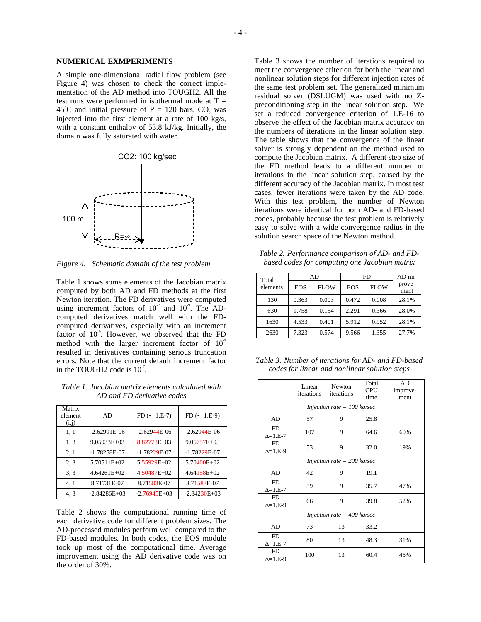#### **NUMERICAL EXMPERIMENTS**

A simple one-dimensional radial flow problem (see Figure 4) was chosen to check the correct implementation of the AD method into TOUGH2. All the test runs were performed in isothermal mode at  $T =$ 45°C and initial pressure of P = 120 bars.  $CO_2$  was injected into the first element at a rate of 100 kg/s, with a constant enthalpy of 53.8 kJ/kg. Initially, the domain was fully saturated with water.



*Figure 4. Schematic domain of the test problem* 

Table 1 shows some elements of the Jacobian matrix computed by both AD and FD methods at the first Newton iteration. The FD derivatives were computed using increment factors of  $10^7$  and  $10^9$ . The ADcomputed derivatives match well with the FDcomputed derivatives, especially with an increment factor of  $10^{\degree}$ . However, we observed that the FD method with the larger increment factor of  $10<sup>7</sup>$ resulted in derivatives containing serious truncation errors. Note that the current default increment factor in the TOUGH2 code is  $10<sup>7</sup>$ .

*Table 1. Jacobian matrix elements calculated with AD and FD derivative codes* 

| Matrix<br>element<br>(i,j) | AD               | $FD (= 1.E-7)$   | $FD (= 1.E-9)$  |
|----------------------------|------------------|------------------|-----------------|
| 1, 1                       | $-2.62991E-06$   | $-2.62944E - 06$ | $-2.62944E-06$  |
| 1, 3                       | $9.05933E + 03$  | 8.82778E+03      | $9.05757E + 03$ |
| 2, 1                       | $-1.78258E - 07$ | $-1.78229E - 07$ | $-1.78229E-07$  |
| 2, 3                       | 5.70511E+02      | $5.55929E+02$    | $5.70400E + 02$ |
| 3, 3                       | $4.64261E+02$    | $4.50487E+02$    | $4.64158E + 02$ |
| 4, 1                       | 8.71731E-07      | 8.71583E-07      | 8.71583E-07     |
| 4, 3                       | $-2.84286E+03$   | $-2.76945E+03$   | $-2.84230E+03$  |

Table 2 shows the computational running time of each derivative code for different problem sizes. The AD-processed modules perform well compared to the FD-based modules. In both codes, the EOS module took up most of the computational time. Average improvement using the AD derivative code was on the order of 30%.

Table 3 shows the number of iterations required to meet the convergence criterion for both the linear and nonlinear solution steps for different injection rates of the same test problem set. The generalized minimum residual solver (DSLUGM) was used with no Zpreconditioning step in the linear solution step. We set a reduced convergence criterion of 1.E-16 to observe the effect of the Jacobian matrix accuracy on the numbers of iterations in the linear solution step. The table shows that the convergence of the linear solver is strongly dependent on the method used to compute the Jacobian matrix. A different step size of the FD method leads to a different number of iterations in the linear solution step, caused by the different accuracy of the Jacobian matrix. In most test cases, fewer iterations were taken by the AD code. With this test problem, the number of Newton iterations were identical for both AD- and FD-based codes, probably because the test problem is relatively easy to solve with a wide convergence radius in the solution search space of the Newton method.

*Table 2. Performance comparison of AD- and FDbased codes for computing one Jacobian matrix* 

| Total    | AD         |             | <b>FD</b>  |             | $AD$ im-       |
|----------|------------|-------------|------------|-------------|----------------|
| elements | <b>EOS</b> | <b>FLOW</b> | <b>EOS</b> | <b>FLOW</b> | prove-<br>ment |
| 130      | 0.363      | 0.003       | 0.472      | 0.008       | 28.1%          |
| 630      | 1.758      | 0.154       | 2.291      | 0.366       | 28.0%          |
| 1630     | 4.533      | 0.401       | 5.912      | 0.952       | 28.1%          |
| 2630     | 7.323      | 0.574       | 9.566      | 1.355       | 27.7%          |

*Table 3. Number of iterations for AD- and FD-based codes for linear and nonlinear solution steps* 

|                                       | Linear<br>iterations | Newton<br>iterations | Total<br><b>CPU</b><br>time | AD<br>improve-<br>ment |  |  |  |  |
|---------------------------------------|----------------------|----------------------|-----------------------------|------------------------|--|--|--|--|
| Injection rate = $100$ kg/sec         |                      |                      |                             |                        |  |  |  |  |
| AD                                    | 57                   | 9                    | 25.8                        |                        |  |  |  |  |
| <b>FD</b><br>$\Delta = 1.E-7$         | 107                  | 9                    | 64.6                        | 60%                    |  |  |  |  |
| <b>FD</b><br>$\Delta = 1.E-9$         | 53                   | 9                    | 32.0                        | 19%                    |  |  |  |  |
| Injection rate = $200 \text{ kg/sec}$ |                      |                      |                             |                        |  |  |  |  |
| AD                                    | 42                   | 9                    | 19.1                        |                        |  |  |  |  |
| <b>FD</b><br>$\Delta = 1.E-7$         | 59                   | 9                    | 35.7                        | 47%                    |  |  |  |  |
| <b>FD</b><br>$\Delta = 1.E-9$         | 66                   | 9                    | 39.8                        | 52%                    |  |  |  |  |
| Injection rate = $400 \text{ kg/sec}$ |                      |                      |                             |                        |  |  |  |  |
| AD                                    | 73                   | 13                   | 33.2                        |                        |  |  |  |  |
| <b>FD</b><br>$\Delta = 1.E-7$         | 80                   | 13                   | 48.3                        | 31%                    |  |  |  |  |
| <b>FD</b><br>$\Delta = 1.E-9$         | 100                  | 13                   | 60.4                        | 45%                    |  |  |  |  |